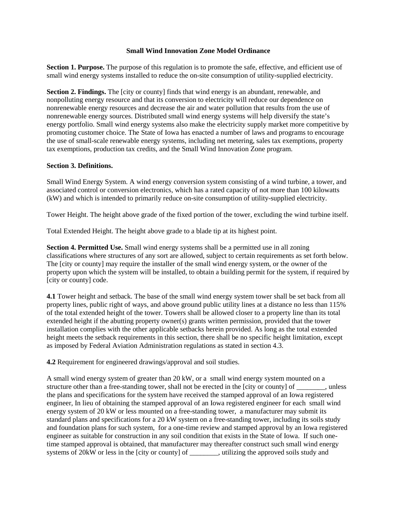## **Small Wind Innovation Zone Model Ordinance**

**Section 1. Purpose.** The purpose of this regulation is to promote the safe, effective, and efficient use of small wind energy systems installed to reduce the on-site consumption of utility-supplied electricity.

**Section 2. Findings.** The [city or county] finds that wind energy is an abundant, renewable, and nonpolluting energy resource and that its conversion to electricity will reduce our dependence on nonrenewable energy resources and decrease the air and water pollution that results from the use of nonrenewable energy sources. Distributed small wind energy systems will help diversify the state's energy portfolio. Small wind energy systems also make the electricity supply market more competitive by promoting customer choice. The State of Iowa has enacted a number of laws and programs to encourage the use of small-scale renewable energy systems, including net metering, sales tax exemptions, property tax exemptions, production tax credits, and the Small Wind Innovation Zone program.

## **Section 3. Definitions.**

Small Wind Energy System. A wind energy conversion system consisting of a wind turbine, a tower, and associated control or conversion electronics, which has a rated capacity of not more than 100 kilowatts (kW) and which is intended to primarily reduce on-site consumption of utility-supplied electricity.

Tower Height. The height above grade of the fixed portion of the tower, excluding the wind turbine itself.

Total Extended Height. The height above grade to a blade tip at its highest point.

**Section 4. Permitted Use.** Small wind energy systems shall be a permitted use in all zoning classifications where structures of any sort are allowed, subject to certain requirements as set forth below. The [city or county] may require the installer of the small wind energy system, or the owner of the property upon which the system will be installed, to obtain a building permit for the system, if required by [city or county] code.

**4.1** Tower height and setback. The base of the small wind energy system tower shall be set back from all property lines, public right of ways, and above ground public utility lines at a distance no less than 115% of the total extended height of the tower. Towers shall be allowed closer to a property line than its total extended height if the abutting property owner(s) grants written permission, provided that the tower installation complies with the other applicable setbacks herein provided. As long as the total extended height meets the setback requirements in this section, there shall be no specific height limitation, except as imposed by Federal Aviation Administration regulations as stated in section 4.3.

**4.2** Requirement for engineered drawings/approval and soil studies.

A small wind energy system of greater than 20 kW, or a small wind energy system mounted on a structure other than a free-standing tower, shall not be erected in the [city or county] of , unless the plans and specifications for the system have received the stamped approval of an Iowa registered engineer, In lieu of obtaining the stamped approval of an Iowa registered engineer for each small wind energy system of 20 kW or less mounted on a free-standing tower, a manufacturer may submit its standard plans and specifications for a 20 kW system on a free-standing tower, including its soils study and foundation plans for such system, for a one-time review and stamped approval by an Iowa registered engineer as suitable for construction in any soil condition that exists in the State of Iowa. If such onetime stamped approval is obtained, that manufacturer may thereafter construct such small wind energy systems of 20kW or less in the [city or county] of \_\_\_\_\_\_\_\_, utilizing the approved soils study and